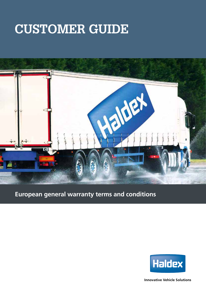# **CUSTOMER GUIDE**



### **European general warranty terms and conditions**



**Innovative Vehicle Solutions**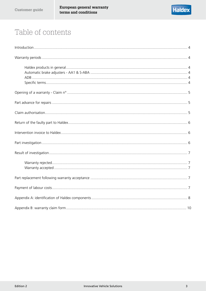# Table of contents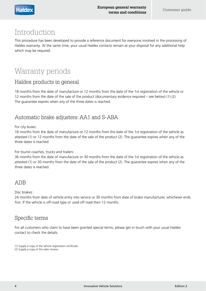### Introduction

This procedure has been developed to provide a reference document for everyone involved in the processing of Haldex warranty. At the same time, your usual Haldex contacts remain at your disposal for any additional help which may be required.

# Warranty periods

### Haldex products in general

18 months from the date of manufacture or 12 months from the date of the 1st registration of the vehicle or 12 months from the date of the sale of the product (documentary evidence required – see below) (1) (2). The guarantee expires when any of the three dates is reached.

### Automatic brake adjusters: AA1 and S-ABA

For city buses:

18 months from the date of manufacture or 12 months from the date of the 1st registration of the vehicle as attested (1) or 12 months from the date of the sale of the product (2). The guarantee expires when any of the three dates is reached.

For tourist coaches, trucks and trailers:

36 months from the date of manufacture or 30 months from the date of the 1st registration of the vehicle as attested (1) or 30 months from the date of the sale of the product (2). The guarantee expires when any of the three dates is reached.

### ADB

Disc brakes:

24 months from date of vehicle entry into service or 30 months from date of brake manufacturer, whichever ends first. If the vehicle is off-road type or used off road then 12 months.

### Specific terms

For all customers who claim to have been granted special terms, please get in touch with your usual Haldex contact to check the details.

(1) Supply a copy of the vehicle registration certificate.

(2) Supply a copy of the sales invoice.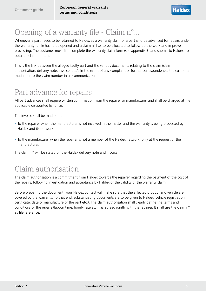## Opening of a warranty file - Claim n°...

Whenever a part needs to be returned to Haldex as a warranty claim or a part is to be advanced for repairs under the warranty, a file has to be opened and a claim n° has to be allocated to follow up the work and improve processing. The customer must first complete the warranty claim form (see appendix B) and submit to Haldex, to obtain a claim number.

This is the link between the alleged faulty part and the various documents relating to the claim (claim authorisation, delivery note, invoice, etc.). In the event of any complaint or further correspondence, the customer must refer to the claim number in all communication.

### Part advance for repairs

All part advances shall require written confirmation from the repairer or manufacturer and shall be charged at the applicable discounted list price.

The invoice shall be made out:

- › To the repairer when the manufacturer is not involved in the matter and the warranty is being processed by Haldex and its network.
- $\rightarrow$  To the manufacturer when the repairer is not a member of the Haldex network, only at the request of the manufacturer.

The claim n° will be stated on the Haldex delivery note and invoice.

### Claim authorisation

The claim authorisation is a commitment from Haldex towards the repairer regarding the payment of the cost of the repairs, following investigation and acceptance by Haldex of the validity of the warranty claim

Before preparing the document, your Haldex contact will make sure that the affected product and vehicle are covered by the warranty. To that end, substantiating documents are to be given to Haldex (vehicle registration certificate, date of manufacture of the part etc.). The claim authorisation shall clearly define the terms and conditions of the repairs (labour time, hourly rate etc.), as agreed jointly with the repairer. It shall use the claim n° as file reference.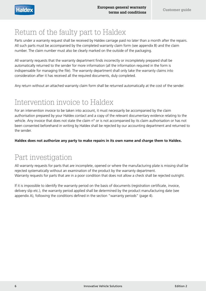### Return of the faulty part to Haldex

Parts under a warranty request shall be received by Haldex carriage paid no later than a month after the repairs. All such parts must be accompanied by the completed warranty claim form (see appendix B) and the claim number. The claim number must also be clearly marked on the outside of the packaging.

All warranty requests that the warranty department finds incorrectly or incompletely prepared shall be automatically returned to the sender for more information (all the information required in the form is indispensable for managing the file). The warranty department shall only take the warranty claims into consideration after it has received all the required documents, duly completed.

Any return without an attached warranty claim form shall be returned automatically at the cost of the sender.

# Intervention invoice to Haldex

For an intervention invoice to be taken into account, it must necessarily be accompanied by the claim authorisation prepared by your Haldex contact and a copy of the relevant documentary evidence relating to the vehicle. Any invoice that does not state the claim n° or is not accompanied by its claim authorisation or has not been consented beforehand in writing by Haldex shall be rejected by our accounting department and returned to the sender.

**Haldex does not authorize any party to make repairs in its own name and charge them to Haldex.**

### Part investigation

All warranty requests for parts that are incomplete, opened or where the manufacturing plate is missing shall be rejected systematically without an examination of the product by the warranty department. Warranty requests for parts that are in a poor condition that does not allow a check shall be rejected outright.

If it is impossible to identify the warranty period on the basis of documents (registration certificate, invoice, delivery slip etc.), the warranty period applied shall be determined by the product manufacturing date (see appendix A), following the conditions defined in the section "warranty periods" (page 4).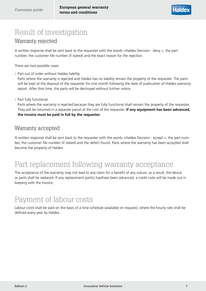# Result of investigation

### Warranty rejected

A written response shall be sent back to the requester with the words «Haldex Decision : deny », the part number, the customer file number (if stated) and the exact reason for the rejection.

There are two possible cases:

› Part out of order without Haldex liability

Parts where the warranty is rejected and Haldex has no liability remain the property of the requester. The parts will be kept at the disposal of the requester for one month following the date of publication of Haldex warranty report. After that time, the parts will be destroyed without further notice.

› Part fully functional

Parts where the warranty is rejected because they are fully functional shall remain the property of the requester. They will be returned in a separate parcel at the cost of the requester. **If any equipment has been advanced, the invoice must be paid in full by the requester.**

### Warranty accepted

A written response shall be sent back to the requester with the words «Haldex Decision : accept », the part number, the customer file number (if stated) and the defect found. Parts where the warranty has been accepted shall become the property of Haldex.

### Part replacement following warranty acceptance

The acceptance of the warranty may not lead to any claim for a benefit of any nature; as a result, the device or parts shall be replaced. If any replacement part(s) has/have been advanced, a credit note will be made out in keeping with the invoice.

### Payment of labour costs

Labour costs shall be paid on the basis of a time schedule (available on request), where the hourly rate shall be defined every year by Haldex.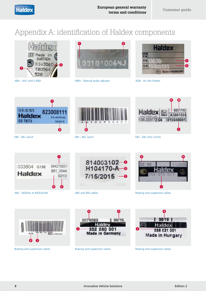## Appendix A: identification of Haldex components





ABA - AA1 and S-ABA MBA - Manual brake adjuster



ADB - Air disc brakes



EBS - EB+ Gen3 EBS - EB+ Gen3



**q**

**s**

**u**



ABS - MODAL et MODULAR ABS and EBS cables Braking and suspension valves







Braking and suspension valves



35 Hal **q** 338 021 001 **Made in Hungary** 

#### Braking and suspension valves **Braking and suspension valves**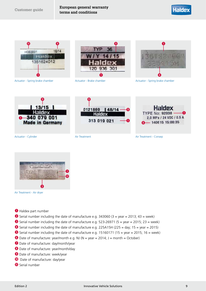

Actuator - Spring brake chamber Actuator - Brake chamber Actuator - Spring brake chamber











Actuator - Cylinder **Air Treatment Air Treatment Air Treatment Air Treatment Air Treatment - Consep** 



Air Treatment - Air dryer

- **q** Haldex part number
- $\bullet$  Serial number including the date of manufacture e.g. 343060 (3 = year = 2013; 43 = week)
- **e** Serial number including the date of manufacture e.g. 523-26971 (5 = year = 2015; 23 = week)
- **r** Serial number including the date of manufacture e.g. 225A15H (225 = day; 15 = year = 2015)
- $\bullet$  Serial number including the date of manufacture e.g. 15160171 (15 = year = 2015; 16 = week)
- **y** Date of manufacture: year/month e.g. NJ (N = year = 2014; J = month = October)
- **u** Date of manufacture: day/month/year
- **i** Date of manufacture: year/month/day
- **o** Date of manufacture: week/year
- **<sup>1</sup>** Date of manufacture: day/year
- **<sup>6</sup>** Serial number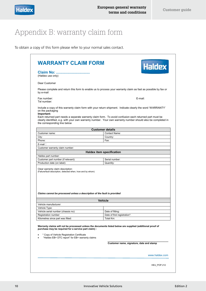# Appendix B: warranty claim form

To obtain a copy of this form please refer to your normal sales contact.

|                                                                                                                                 | <b>WARRANTY CLAIM FORM</b><br>Haldex                                                                                                                                                                                   |
|---------------------------------------------------------------------------------------------------------------------------------|------------------------------------------------------------------------------------------------------------------------------------------------------------------------------------------------------------------------|
| Claim No:<br>(Haldex use only)                                                                                                  |                                                                                                                                                                                                                        |
| Dear Customer                                                                                                                   |                                                                                                                                                                                                                        |
| by e-mail                                                                                                                       | Please complete and return this form to enable us to process your warranty claim as fast as possible by fax or                                                                                                         |
| Fax number:<br>Tel number:                                                                                                      | E-mail:                                                                                                                                                                                                                |
| on the packaging<br>Important:                                                                                                  | Include a copy of this warranty claim form with your return shipment. Indicate clearly the word 'WARRANTY'                                                                                                             |
| the corresponding line below                                                                                                    | Each returned part needs a separate warranty claim form. To avoid confusion each returned part must be<br>clearly identified, e.g. with your own warranty number. Your own warranty number should also be completed in |
|                                                                                                                                 | <b>Customer details</b>                                                                                                                                                                                                |
| Customer name:                                                                                                                  | Contact Name:                                                                                                                                                                                                          |
| City:                                                                                                                           | Country:                                                                                                                                                                                                               |
| Phone:                                                                                                                          | Fax:                                                                                                                                                                                                                   |
| $E$ -mail:                                                                                                                      |                                                                                                                                                                                                                        |
| Customer warranty claim number:                                                                                                 |                                                                                                                                                                                                                        |
|                                                                                                                                 | <b>Haldex item specification</b>                                                                                                                                                                                       |
| Haldex part number:                                                                                                             |                                                                                                                                                                                                                        |
| Customer part number (if relevant):                                                                                             | Serial number:                                                                                                                                                                                                         |
|                                                                                                                                 |                                                                                                                                                                                                                        |
| Production date (on label):<br>Clear warranty claim description:<br>(Failure/fault description, detected when, how and by whom) | Quantity:                                                                                                                                                                                                              |
| Claims cannot be processed unless a description of the fault is provided                                                        |                                                                                                                                                                                                                        |
|                                                                                                                                 |                                                                                                                                                                                                                        |
|                                                                                                                                 | <b>Vehicle</b>                                                                                                                                                                                                         |
| Vehicle manufacturer:                                                                                                           |                                                                                                                                                                                                                        |
| Vehicle Type:<br>Vehicle serial number (chassis no):                                                                            | Date of fitting:                                                                                                                                                                                                       |
| Registration number:                                                                                                            | Date of first registration*:                                                                                                                                                                                           |
| Kilometres since part was fitted:                                                                                               | Total Km:                                                                                                                                                                                                              |
| purchase may be required for a service part claim) :<br>* Copy of Vehicle Registration Certificate                              | Warranty claims will not be processed unless the documents listed below are supplied (additional proof of                                                                                                              |
| "Haldex EB+ DTC report" for EB+ warranty claims                                                                                 |                                                                                                                                                                                                                        |
|                                                                                                                                 | Customer name, signature, date and stamp                                                                                                                                                                               |